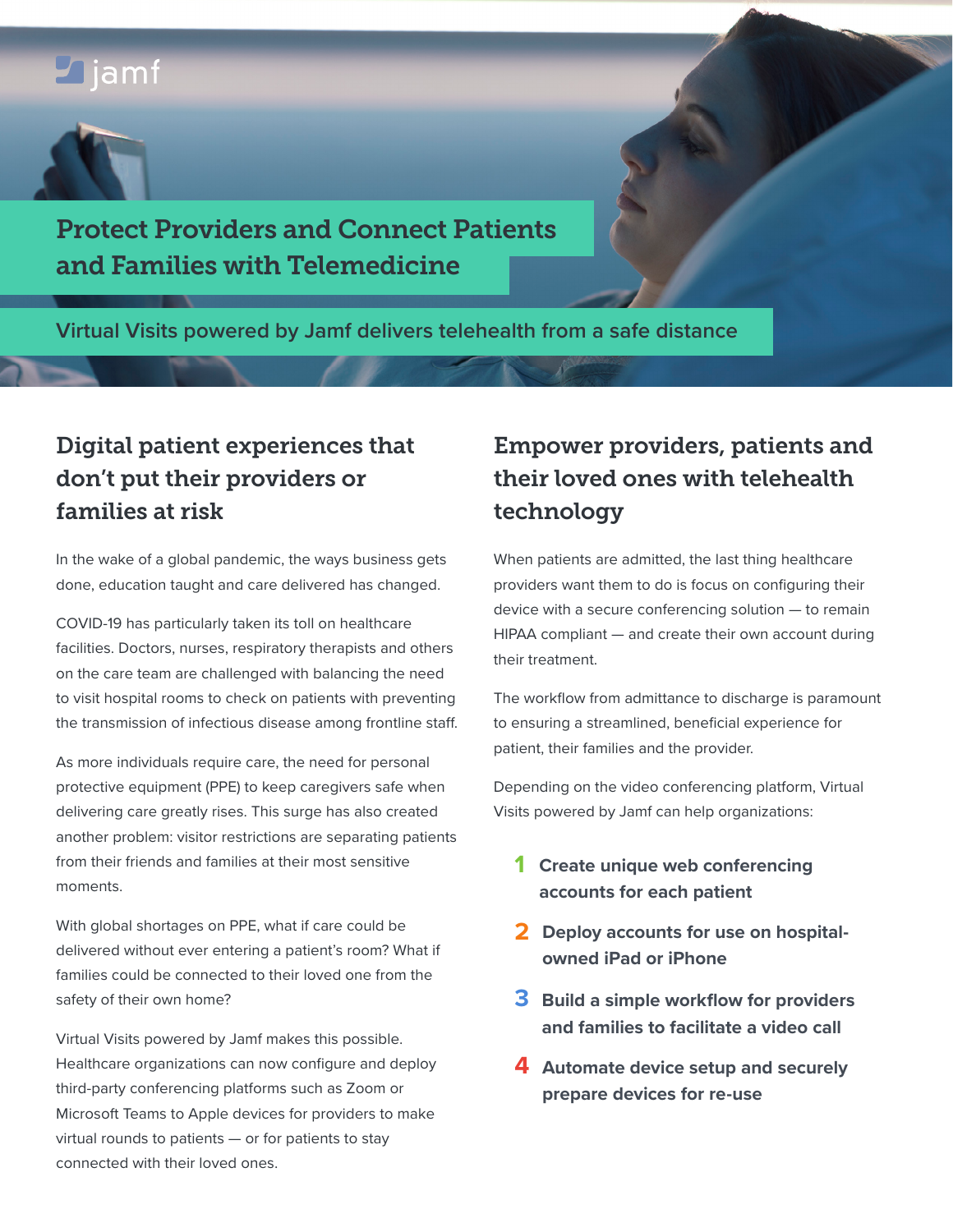# $\Box$ jamf



## Protect Providers and Connect Patients and Families with Telemedicine

**Virtual Visits powered by Jamf delivers telehealth from a safe distance**

## Digital patient experiences that don't put their providers or families at risk

In the wake of a global pandemic, the ways business gets done, education taught and care delivered has changed.

COVID-19 has particularly taken its toll on healthcare facilities. Doctors, nurses, respiratory therapists and others on the care team are challenged with balancing the need to visit hospital rooms to check on patients with preventing the transmission of infectious disease among frontline staff.

As more individuals require care, the need for personal protective equipment (PPE) to keep caregivers safe when delivering care greatly rises. This surge has also created another problem: visitor restrictions are separating patients from their friends and families at their most sensitive moments.

With global shortages on PPE, what if care could be delivered without ever entering a patient's room? What if families could be connected to their loved one from the safety of their own home?

Virtual Visits powered by Jamf makes this possible. Healthcare organizations can now configure and deploy third-party conferencing platforms such as Zoom or Microsoft Teams to Apple devices for providers to make virtual rounds to patients — or for patients to stay connected with their loved ones.

## Empower providers, patients and their loved ones with telehealth technology

When patients are admitted, the last thing healthcare providers want them to do is focus on configuring their device with a secure conferencing solution — to remain HIPAA compliant — and create their own account during their treatment.

The workflow from admittance to discharge is paramount to ensuring a streamlined, beneficial experience for patient, their families and the provider.

Depending on the video conferencing platform, Virtual Visits powered by Jamf can help organizations:

- **1 Create unique web conferencing accounts for each patient**
- **2 Deploy accounts for use on hospitalowned iPad or iPhone**
- **3 Build a simple workflow for providers and families to facilitate a video call**
- **4 Automate device setup and securely prepare devices for re-use**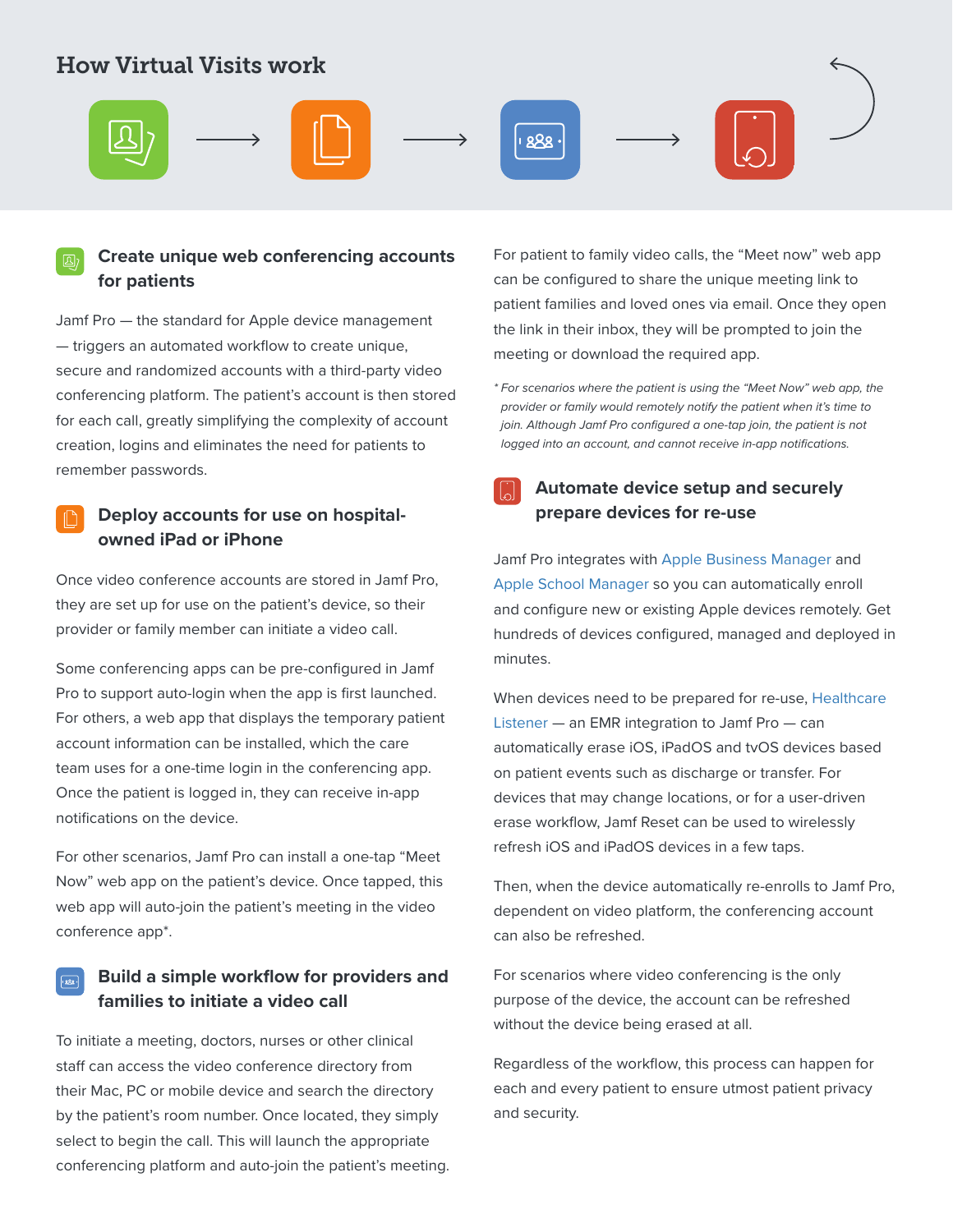### How Virtual Visits work



#### **Create unique web conferencing accounts B for patients**

Jamf Pro — the standard for Apple device management — triggers an automated workflow to create unique, secure and randomized accounts with a third-party video conferencing platform. The patient's account is then stored for each call, greatly simplifying the complexity of account creation, logins and eliminates the need for patients to remember passwords.

### **Deploy accounts for use on hospitalowned iPad or iPhone**

Once video conference accounts are stored in Jamf Pro, they are set up for use on the patient's device, so their provider or family member can initiate a video call.

Some conferencing apps can be pre-configured in Jamf Pro to support auto-login when the app is first launched. For others, a web app that displays the temporary patient account information can be installed, which the care team uses for a one-time login in the conferencing app. Once the patient is logged in, they can receive in-app notifications on the device.

For other scenarios, Jamf Pro can install a one-tap "Meet Now" web app on the patient's device. Once tapped, this web app will auto-join the patient's meeting in the video conference app\*.

#### **Build a simple workflow for providers and**   $\sqrt{888}$ **families to initiate a video call**

To initiate a meeting, doctors, nurses or other clinical staff can access the video conference directory from their Mac, PC or mobile device and search the directory by the patient's room number. Once located, they simply select to begin the call. This will launch the appropriate conferencing platform and auto-join the patient's meeting. For patient to family video calls, the "Meet now" web app can be configured to share the unique meeting link to patient families and loved ones via email. Once they open the link in their inbox, they will be prompted to join the meeting or download the required app.

*\* For scenarios where the patient is using the "Meet Now" web app, the provider or family would remotely notify the patient when it's time to join. Although Jamf Pro configured a one-tap join, the patient is not logged into an account, and cannot receive in-app notifications.*

### **Automate device setup and securely**   $\mathbb{Z}$ **prepare devices for re-use**

Jamf Pro integrates with [Apple Business Manager](https://www.jamf.com/solutions/technologies/apple-business-manager/) and [Apple School Manager](https://www.jamf.com/solutions/technologies/apple-school-manager/) so you can automatically enroll and configure new or existing Apple devices remotely. Get hundreds of devices configured, managed and deployed in minutes.

When devices need to be prepared for re-use, [Healthcare](https://marketplace.jamf.com/details/jamf-healthcare-listener/)  [Listener](https://marketplace.jamf.com/details/jamf-healthcare-listener/) — an EMR integration to Jamf Pro — can automatically erase iOS, iPadOS and tvOS devices based on patient events such as discharge or transfer. For devices that may change locations, or for a user-driven erase workflow, Jamf Reset can be used to wirelessly refresh iOS and iPadOS devices in a few taps.

Then, when the device automatically re-enrolls to Jamf Pro, dependent on video platform, the conferencing account can also be refreshed.

For scenarios where video conferencing is the only purpose of the device, the account can be refreshed without the device being erased at all.

Regardless of the workflow, this process can happen for each and every patient to ensure utmost patient privacy and security.